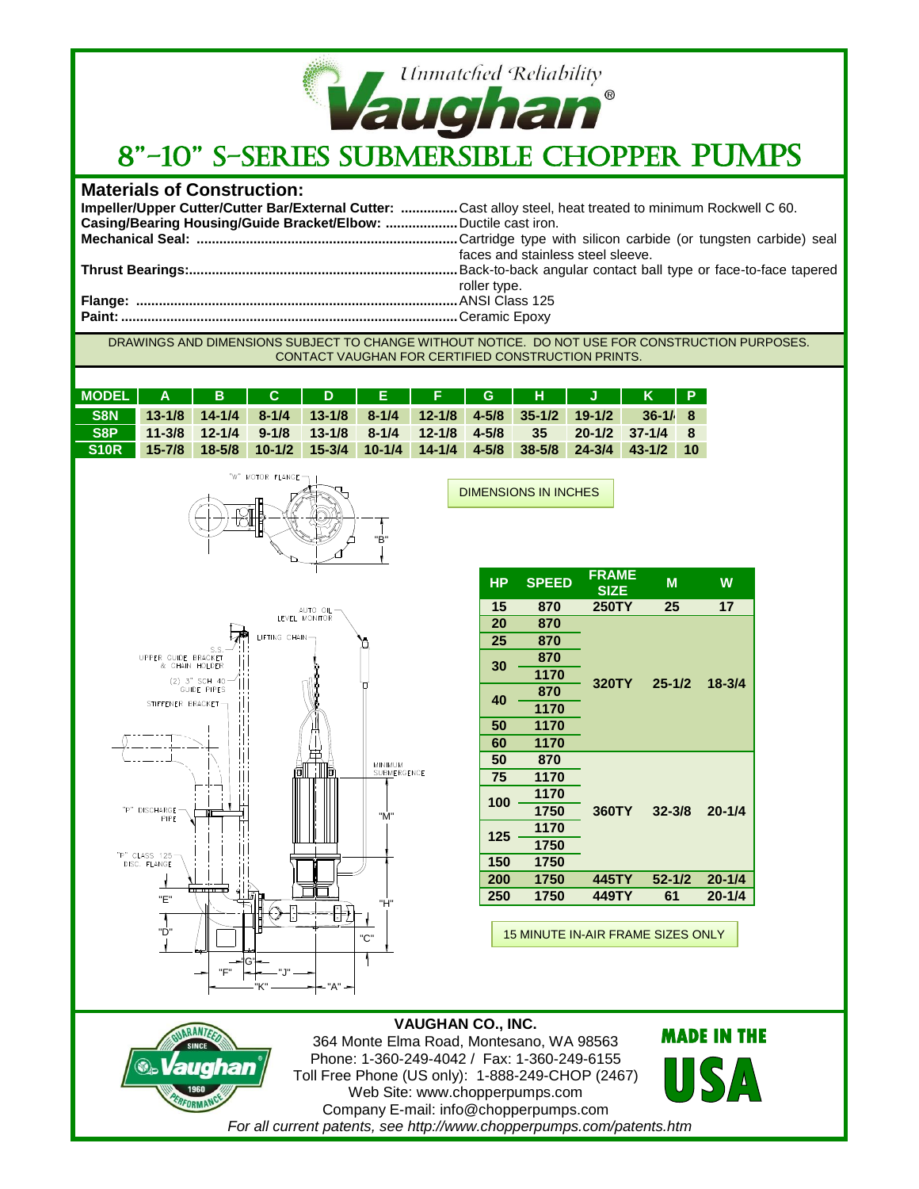

## **Materials of Construction:**

| Impeller/Upper Cutter/Cutter Bar/External Cutter: Cast alloy steel, heat treated to minimum Rockwell C 60. |                                   |
|------------------------------------------------------------------------------------------------------------|-----------------------------------|
| Casing/Bearing Housing/Guide Bracket/Elbow:  Ductile cast iron.                                            |                                   |
|                                                                                                            |                                   |
|                                                                                                            | faces and stainless steel sleeve. |
|                                                                                                            |                                   |
|                                                                                                            | roller type.                      |
|                                                                                                            |                                   |
|                                                                                                            |                                   |
|                                                                                                            |                                   |

DRAWINGS AND DIMENSIONS SUBJECT TO CHANGE WITHOUT NOTICE. DO NOT USE FOR CONSTRUCTION PURPOSES. CONTACT VAUGHAN FOR CERTIFIED CONSTRUCTION PRINTS.

DIMENSIONS IN INCHES

| MODEL   A   B   C   D   E   F   G   H   J   K   P                            |                                                                         |  |  |  |                   |  |
|------------------------------------------------------------------------------|-------------------------------------------------------------------------|--|--|--|-------------------|--|
|                                                                              | S8N 13-1/8 14-1/4 8-1/4 13-1/8 8-1/4 12-1/8 4-5/8 35-1/2 19-1/2 36-1/ 8 |  |  |  |                   |  |
| S8P                                                                          | $11-3/8$ 12-1/4 9-1/8 13-1/8 8-1/4 12-1/8 4-5/8 35                      |  |  |  | $20-1/2$ 37-1/4 8 |  |
| S10R 15-7/8 18-5/8 10-1/2 15-3/4 10-1/4 14-1/4 4-5/8 38-5/8 24-3/4 43-1/2 10 |                                                                         |  |  |  |                   |  |





 $\epsilon$ 

FORMA

| HР  | <b>SPEED</b> | <b>FRAME</b><br><b>SIZE</b> | M          | W          |  |
|-----|--------------|-----------------------------|------------|------------|--|
| 15  | 870          | <b>250TY</b>                | 25         | 17         |  |
| 20  | 870          |                             | $25 - 1/2$ |            |  |
| 25  | 870          |                             |            |            |  |
| 30  | 870          |                             |            | $18 - 3/4$ |  |
|     | 1170         | 320TY                       |            |            |  |
| 40  | 870          |                             |            |            |  |
|     | 1170         |                             |            |            |  |
| 50  | 1170         |                             |            |            |  |
| 60  | 1170         |                             |            |            |  |
| 50  | 870          |                             | $32 - 3/8$ |            |  |
| 75  | 1170         |                             |            |            |  |
| 100 | 1170         |                             |            | $20 - 1/4$ |  |
|     | 1750         | 360TY                       |            |            |  |
| 125 | 1170         |                             |            |            |  |
|     | 1750         |                             |            |            |  |
| 150 | 1750         |                             |            |            |  |
| 200 | 1750         | 445TY                       | $52 - 1/2$ | $20 - 1/4$ |  |
| 250 | 1750         | 449TY                       | 61         | $20 - 1/4$ |  |

15 MINUTE IN-AIR FRAME SIZES ONLY

**VAUGHAN CO., INC.** 364 Monte Elma Road, Montesano, WA 98563 Phone: 1-360-249-4042 / Fax: 1-360-249-6155 Toll Free Phone (US only): 1-888-249-CHOP (2467) Web Site: www.chopperpumps.com Company E-mail: info@chopperpumps.com *For all current patents, see http://www.chopperpumps.com/patents.htm*